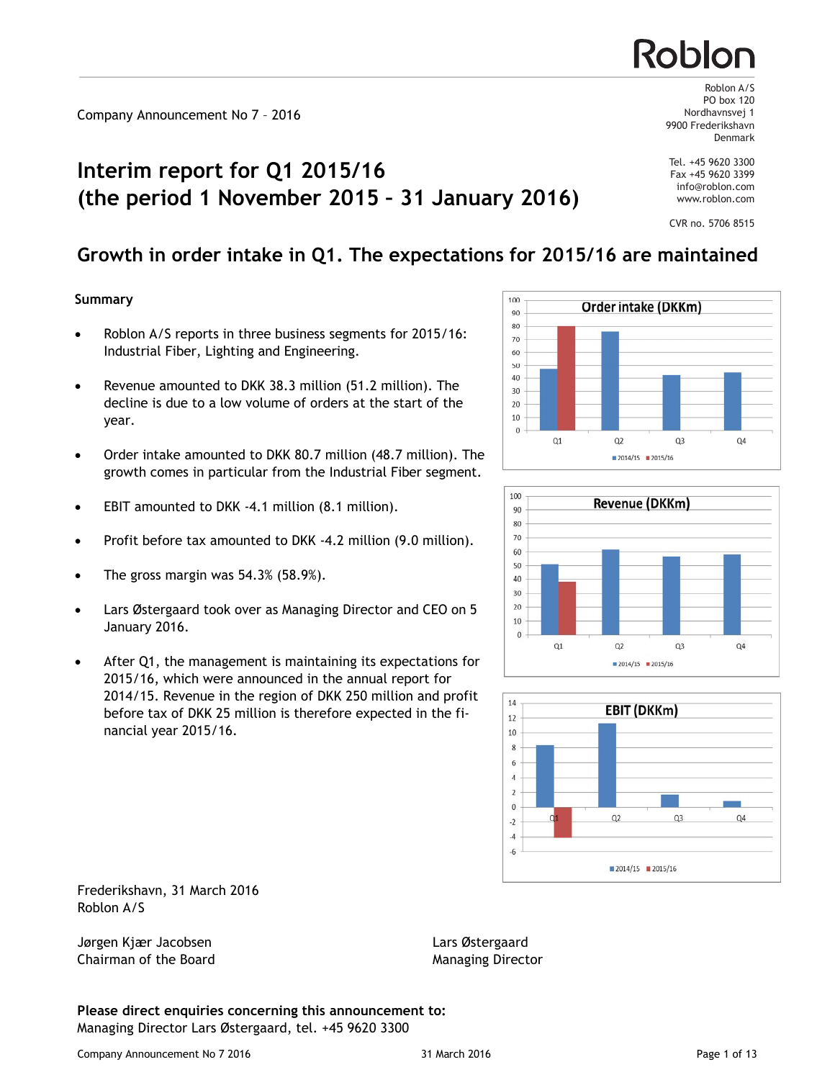# **Interim report for Q1 2015/16 (the period 1 November 2015 – 31 January 2016)**

## **Growth in order intake in Q1. The expectations for 2015/16 are maintained**

#### **Summary**

- Roblon A/S reports in three business segments for 2015/16: Industrial Fiber, Lighting and Engineering.
- Revenue amounted to DKK 38.3 million (51.2 million). The decline is due to a low volume of orders at the start of the year.
- Order intake amounted to DKK 80.7 million (48.7 million). The growth comes in particular from the Industrial Fiber segment.
- EBIT amounted to DKK -4.1 million (8.1 million).
- Profit before tax amounted to DKK -4.2 million (9.0 million).
- The gross margin was  $54.3\%$  (58.9%).
- Lars Østergaard took over as Managing Director and CEO on 5 January 2016.
- After Q1, the management is maintaining its expectations for 2015/16, which were announced in the annual report for 2014/15. Revenue in the region of DKK 250 million and profit before tax of DKK 25 million is therefore expected in the financial year 2015/16.







Frederikshavn, 31 March 2016 Roblon A/S

Jørgen Kjær Jacobsen Lars Østergaard Chairman of the Board **Managing Director** Managing Director

**Please direct enquiries concerning this announcement to:** Managing Director Lars Østergaard, tel. +45 9620 3300

Roblon A/S PO box 120 Nordhavnsvej 1 9900 Frederikshavn Denmark

Roblor

Tel. +45 9620 3300 Fax +45 9620 3399 info@roblon.com www.roblon.com

CVR no. 5706 8515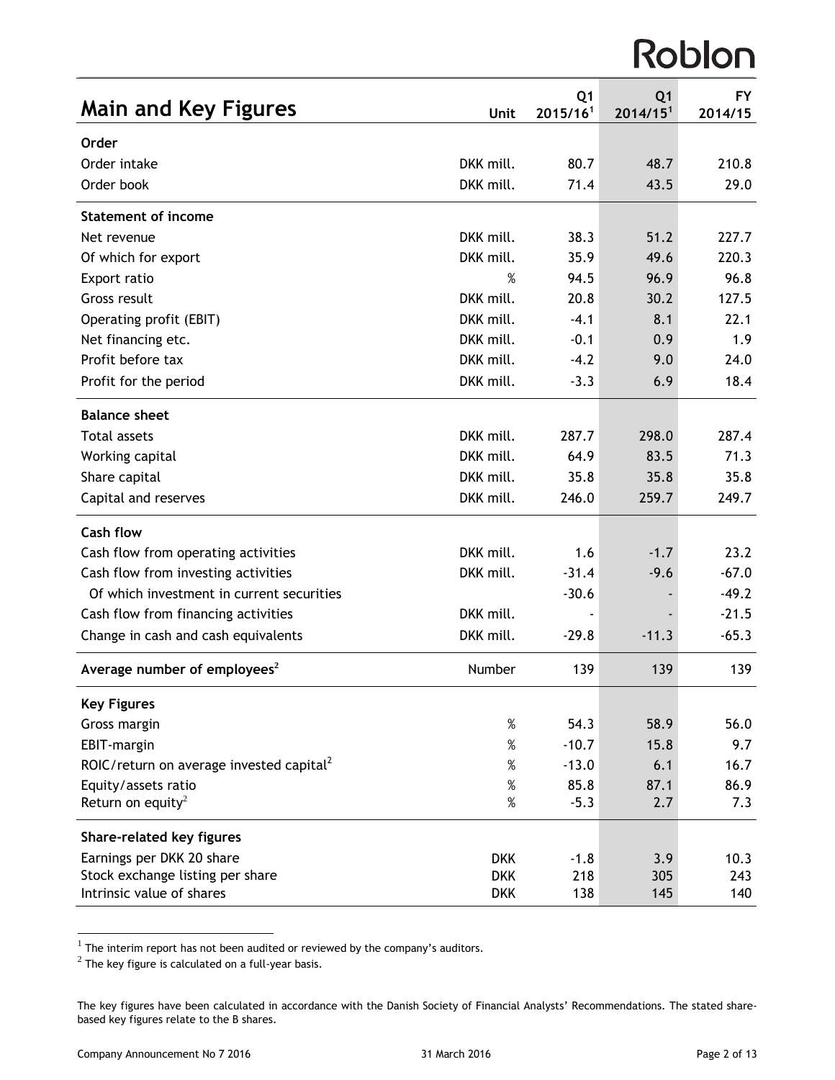# Roblon

| <b>Main and Key Figures</b>                          | Unit       | Q <sub>1</sub><br>2015/16 <sup>1</sup> | Q <sub>1</sub><br>2014/15 <sup>1</sup> | <b>FY</b><br>2014/15 |
|------------------------------------------------------|------------|----------------------------------------|----------------------------------------|----------------------|
| Order                                                |            |                                        |                                        |                      |
| Order intake                                         | DKK mill.  | 80.7                                   | 48.7                                   | 210.8                |
| Order book                                           | DKK mill.  | 71.4                                   | 43.5                                   | 29.0                 |
| Statement of income                                  |            |                                        |                                        |                      |
| Net revenue                                          | DKK mill.  | 38.3                                   | 51.2                                   | 227.7                |
| Of which for export                                  | DKK mill.  | 35.9                                   | 49.6                                   | 220.3                |
| Export ratio                                         | %          | 94.5                                   | 96.9                                   | 96.8                 |
| Gross result                                         | DKK mill.  | 20.8                                   | 30.2                                   | 127.5                |
| Operating profit (EBIT)                              | DKK mill.  | $-4.1$                                 | 8.1                                    | 22.1                 |
| Net financing etc.                                   | DKK mill.  | $-0.1$                                 | 0.9                                    | 1.9                  |
| Profit before tax                                    | DKK mill.  | $-4.2$                                 | 9.0                                    | 24.0                 |
| Profit for the period                                | DKK mill.  | $-3.3$                                 | 6.9                                    | 18.4                 |
| <b>Balance sheet</b>                                 |            |                                        |                                        |                      |
| <b>Total assets</b>                                  | DKK mill.  | 287.7                                  | 298.0                                  | 287.4                |
| Working capital                                      | DKK mill.  | 64.9                                   | 83.5                                   | 71.3                 |
| Share capital                                        | DKK mill.  | 35.8                                   | 35.8                                   | 35.8                 |
| Capital and reserves                                 | DKK mill.  | 246.0                                  | 259.7                                  | 249.7                |
| <b>Cash flow</b>                                     |            |                                        |                                        |                      |
| Cash flow from operating activities                  | DKK mill.  | 1.6                                    | $-1.7$                                 | 23.2                 |
| Cash flow from investing activities                  | DKK mill.  | $-31.4$                                | $-9.6$                                 | $-67.0$              |
| Of which investment in current securities            |            | $-30.6$                                |                                        | $-49.2$              |
| Cash flow from financing activities                  | DKK mill.  |                                        |                                        | $-21.5$              |
| Change in cash and cash equivalents                  | DKK mill.  | $-29.8$                                | $-11.3$                                | $-65.3$              |
| Average number of employees <sup>2</sup>             | Number     | 139                                    | 139                                    | 139                  |
| <b>Key Figures</b>                                   |            |                                        |                                        |                      |
| Gross margin                                         | %          | 54.3                                   | 58.9                                   | 56.0                 |
| EBIT-margin                                          | $\%$       | $-10.7$                                | 15.8                                   | 9.7                  |
| ROIC/return on average invested capital <sup>2</sup> | $\%$       | $-13.0$                                | 6.1                                    | 16.7                 |
| Equity/assets ratio                                  | $\%$       | 85.8                                   | 87.1                                   | 86.9                 |
| Return on equity <sup>2</sup>                        | $\%$       | $-5.3$                                 | 2.7                                    | 7.3                  |
| Share-related key figures                            |            |                                        |                                        |                      |
| Earnings per DKK 20 share                            | <b>DKK</b> | $-1.8$                                 | 3.9                                    | 10.3                 |
| Stock exchange listing per share                     | <b>DKK</b> | 218                                    | 305                                    | 243                  |
| Intrinsic value of shares                            | <b>DKK</b> | 138                                    | 145                                    | 140                  |

 $\frac{1}{1}$  The interim report has not been audited or reviewed by the company's auditors.<br> $\frac{2}{1}$  The key figure is calculated on a full-year basis.

The key figures have been calculated in accordance with the Danish Society of Financial Analysts' Recommendations. The stated sharebased key figures relate to the B shares.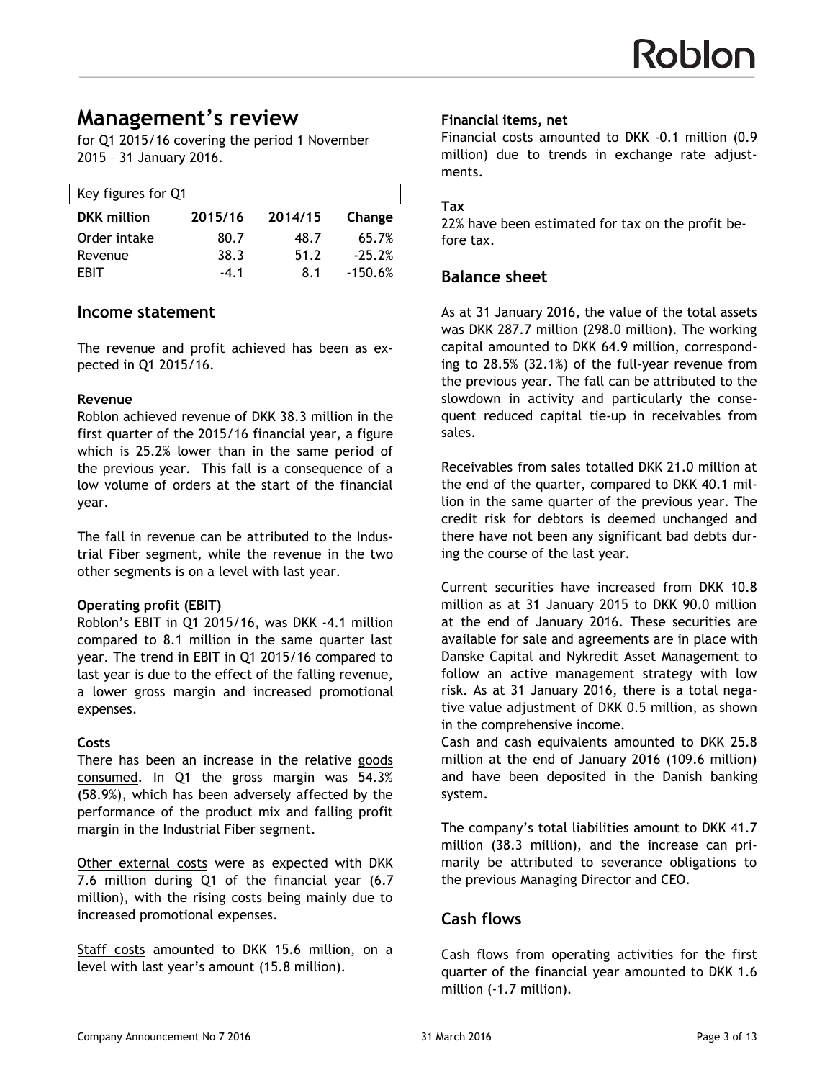# **Management's review**

for Q1 2015/16 covering the period 1 November 2015 – 31 January 2016.

| Key figures for Q1 |         |         |           |  |  |
|--------------------|---------|---------|-----------|--|--|
| <b>DKK</b> million | 2015/16 | 2014/15 | Change    |  |  |
| Order intake       | 80.7    | 48.7    | 65.7%     |  |  |
| Revenue            | 38.3    | 51.2    | $-25.2%$  |  |  |
| <b>FRIT</b>        | $-4.1$  | 8.1     | $-150.6%$ |  |  |

#### **Income statement**

The revenue and profit achieved has been as expected in Q1 2015/16.

#### **Revenue**

Roblon achieved revenue of DKK 38.3 million in the first quarter of the 2015/16 financial year, a figure which is 25.2% lower than in the same period of the previous year. This fall is a consequence of a low volume of orders at the start of the financial year.

The fall in revenue can be attributed to the Industrial Fiber segment, while the revenue in the two other segments is on a level with last year.

#### **Operating profit (EBIT)**

Roblon's EBIT in Q1 2015/16, was DKK -4.1 million compared to 8.1 million in the same quarter last year. The trend in EBIT in Q1 2015/16 compared to last year is due to the effect of the falling revenue, a lower gross margin and increased promotional expenses.

#### **Costs**

There has been an increase in the relative goods consumed. In Q1 the gross margin was 54.3% (58.9%), which has been adversely affected by the performance of the product mix and falling profit margin in the Industrial Fiber segment.

Other external costs were as expected with DKK 7.6 million during Q1 of the financial year (6.7 million), with the rising costs being mainly due to increased promotional expenses.

Staff costs amounted to DKK 15.6 million, on a level with last year's amount (15.8 million).

#### **Financial items, net**

Financial costs amounted to DKK -0.1 million (0.9 million) due to trends in exchange rate adjustments.

#### **Tax**

22% have been estimated for tax on the profit before tax.

### **Balance sheet**

As at 31 January 2016, the value of the total assets was DKK 287.7 million (298.0 million). The working capital amounted to DKK 64.9 million, corresponding to 28.5% (32.1%) of the full-year revenue from the previous year. The fall can be attributed to the slowdown in activity and particularly the consequent reduced capital tie-up in receivables from sales.

Receivables from sales totalled DKK 21.0 million at the end of the quarter, compared to DKK 40.1 million in the same quarter of the previous year. The credit risk for debtors is deemed unchanged and there have not been any significant bad debts during the course of the last year.

Current securities have increased from DKK 10.8 million as at 31 January 2015 to DKK 90.0 million at the end of January 2016. These securities are available for sale and agreements are in place with Danske Capital and Nykredit Asset Management to follow an active management strategy with low risk. As at 31 January 2016, there is a total negative value adjustment of DKK 0.5 million, as shown in the comprehensive income.

Cash and cash equivalents amounted to DKK 25.8 million at the end of January 2016 (109.6 million) and have been deposited in the Danish banking system.

The company's total liabilities amount to DKK 41.7 million (38.3 million), and the increase can primarily be attributed to severance obligations to the previous Managing Director and CEO.

## **Cash flows**

Cash flows from operating activities for the first quarter of the financial year amounted to DKK 1.6 million (-1.7 million).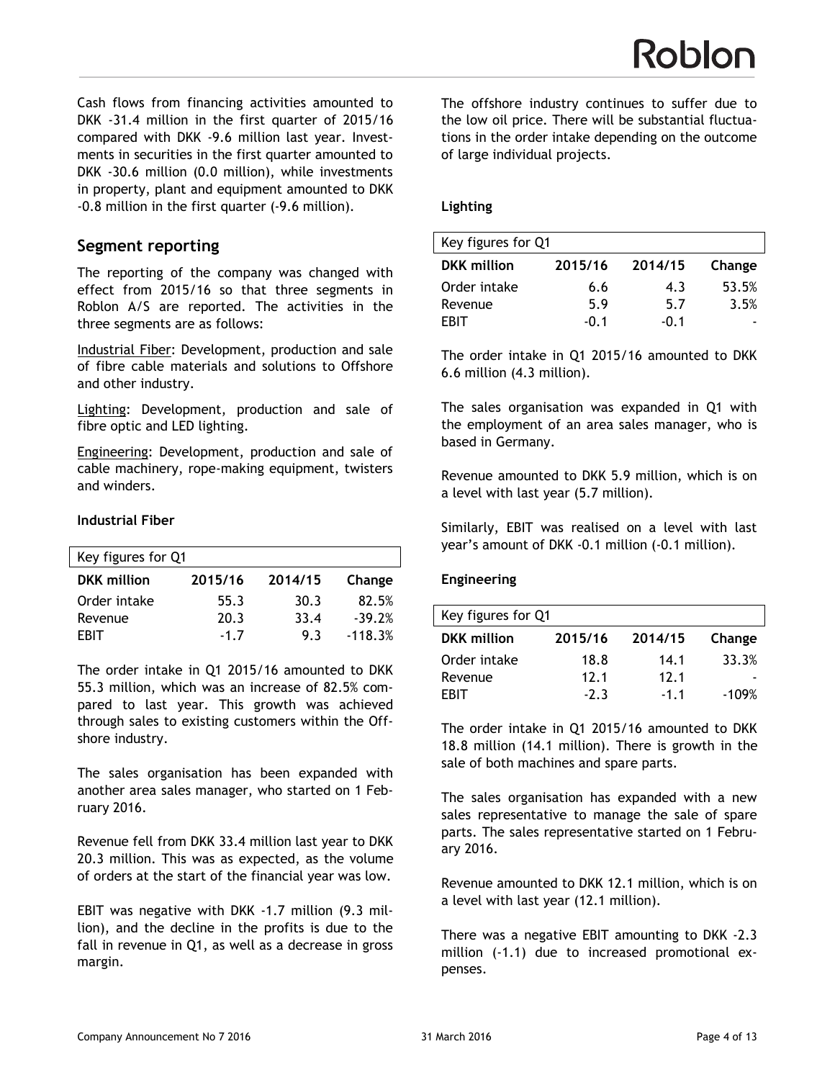Cash flows from financing activities amounted to DKK -31.4 million in the first quarter of 2015/16 compared with DKK -9.6 million last year. Investments in securities in the first quarter amounted to DKK -30.6 million (0.0 million), while investments in property, plant and equipment amounted to DKK -0.8 million in the first quarter (-9.6 million).

## **Segment reporting**

The reporting of the company was changed with effect from 2015/16 so that three segments in Roblon A/S are reported. The activities in the three segments are as follows:

Industrial Fiber: Development, production and sale of fibre cable materials and solutions to Offshore and other industry.

Lighting: Development, production and sale of fibre optic and LED lighting.

Engineering: Development, production and sale of cable machinery, rope-making equipment, twisters and winders.

#### **Industrial Fiber**

| Key figures for Q1 |         |         |           |  |  |
|--------------------|---------|---------|-----------|--|--|
| <b>DKK</b> million | 2015/16 | 2014/15 | Change    |  |  |
| Order intake       | 55.3    | 30.3    | 82.5%     |  |  |
| Revenue            | 20.3    | 33.4    | $-39.2%$  |  |  |
| FRIT               | $-1.7$  | 93      | $-118.3%$ |  |  |

The order intake in Q1 2015/16 amounted to DKK 55.3 million, which was an increase of 82.5% compared to last year. This growth was achieved through sales to existing customers within the Offshore industry.

The sales organisation has been expanded with another area sales manager, who started on 1 February 2016.

Revenue fell from DKK 33.4 million last year to DKK 20.3 million. This was as expected, as the volume of orders at the start of the financial year was low.

EBIT was negative with DKK -1.7 million (9.3 million), and the decline in the profits is due to the fall in revenue in Q1, as well as a decrease in gross margin.

The offshore industry continues to suffer due to the low oil price. There will be substantial fluctuations in the order intake depending on the outcome of large individual projects.

#### **Lighting**

| Key figures for Q1 |         |         |        |
|--------------------|---------|---------|--------|
| <b>DKK</b> million | 2015/16 | 2014/15 | Change |
| Order intake       | 6.6     | 4.3     | 53.5%  |
| Revenue            | 5.9     | 5.7     | 3.5%   |
| FRIT               | -0.1    | -0.1    |        |

The order intake in Q1 2015/16 amounted to DKK 6.6 million (4.3 million).

The sales organisation was expanded in Q1 with the employment of an area sales manager, who is based in Germany.

Revenue amounted to DKK 5.9 million, which is on a level with last year (5.7 million).

Similarly, EBIT was realised on a level with last year's amount of DKK -0.1 million (-0.1 million).

#### **Engineering**

| Key figures for Q1 |         |         |         |  |  |
|--------------------|---------|---------|---------|--|--|
| <b>DKK</b> million | 2015/16 | 2014/15 | Change  |  |  |
| Order intake       | 18.8    | 14.1    | 33.3%   |  |  |
| Revenue            | 12.1    | 12.1    |         |  |  |
| FRIT               | $-2.3$  | $-1.1$  | $-109%$ |  |  |

The order intake in Q1 2015/16 amounted to DKK 18.8 million (14.1 million). There is growth in the sale of both machines and spare parts.

The sales organisation has expanded with a new sales representative to manage the sale of spare parts. The sales representative started on 1 February 2016.

Revenue amounted to DKK 12.1 million, which is on a level with last year (12.1 million).

There was a negative EBIT amounting to DKK -2.3 million (-1.1) due to increased promotional expenses.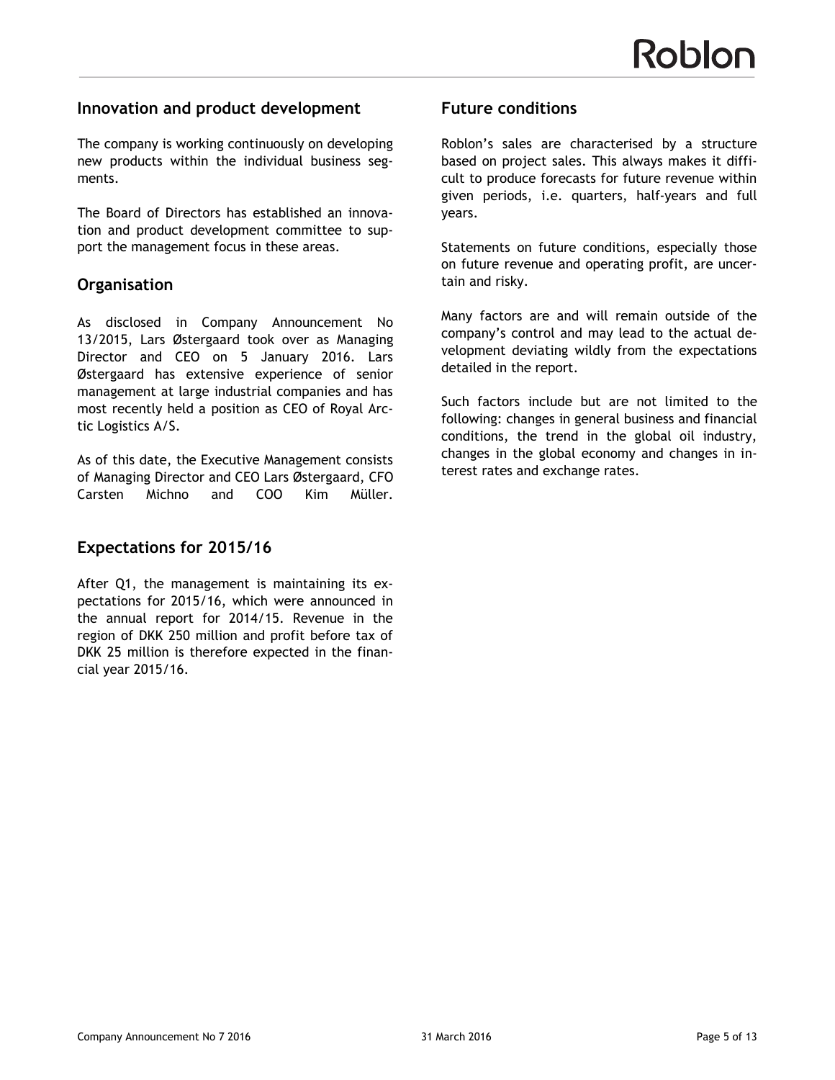## **Innovation and product development**

The company is working continuously on developing new products within the individual business segments.

The Board of Directors has established an innovation and product development committee to support the management focus in these areas.

# **Organisation**

As disclosed in Company Announcement No 13/2015, Lars Østergaard took over as Managing Director and CEO on 5 January 2016. Lars Østergaard has extensive experience of senior management at large industrial companies and has most recently held a position as CEO of Royal Arctic Logistics A/S.

As of this date, the Executive Management consists of Managing Director and CEO Lars Østergaard, CFO Carsten Michno and COO Kim Müller.

# **Expectations for 2015/16**

After Q1, the management is maintaining its expectations for 2015/16, which were announced in the annual report for 2014/15. Revenue in the region of DKK 250 million and profit before tax of DKK 25 million is therefore expected in the financial year 2015/16.

## **Future conditions**

Roblon's sales are characterised by a structure based on project sales. This always makes it difficult to produce forecasts for future revenue within given periods, i.e. quarters, half-years and full years.

Statements on future conditions, especially those on future revenue and operating profit, are uncertain and risky.

Many factors are and will remain outside of the company's control and may lead to the actual development deviating wildly from the expectations detailed in the report.

Such factors include but are not limited to the following: changes in general business and financial conditions, the trend in the global oil industry, changes in the global economy and changes in interest rates and exchange rates.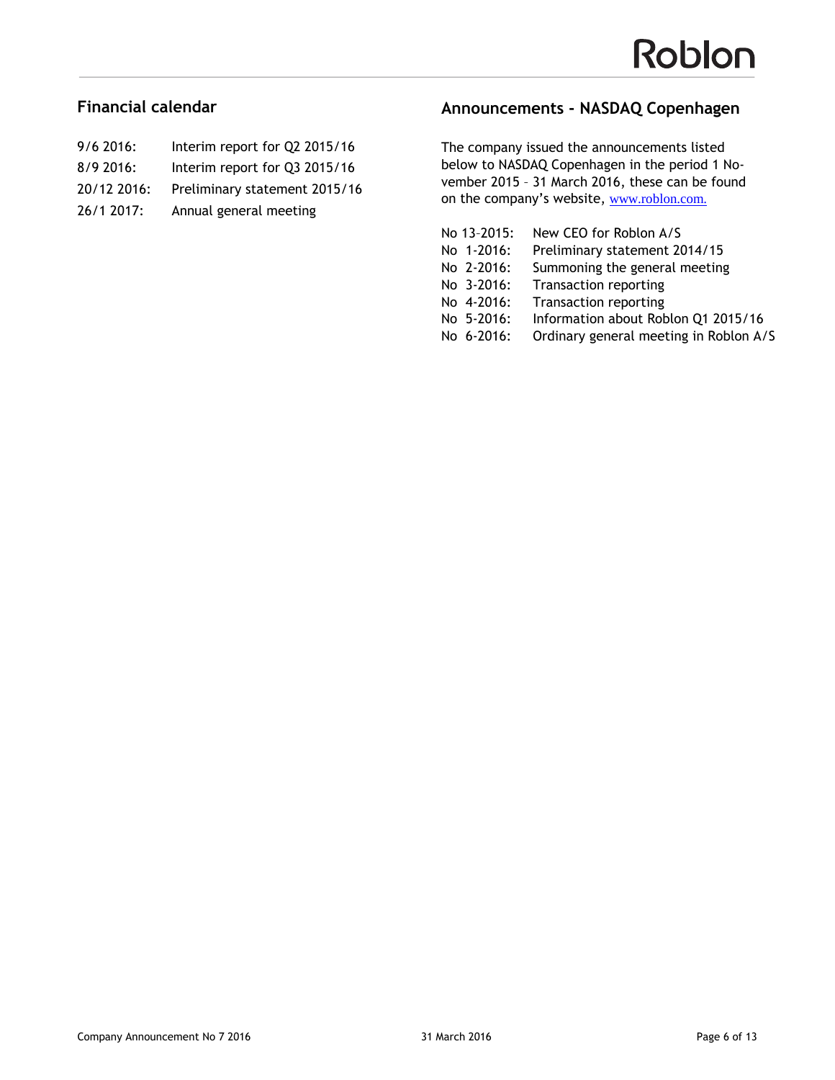## **Financial calendar**

| $9/6$ 2016: | Interim report for Q2 2015/16 |
|-------------|-------------------------------|
| $8/9$ 2016: | Interim report for Q3 2015/16 |
| 20/12 2016: | Preliminary statement 2015/16 |

- 
- 26/1 2017: Annual general meeting

# **Announcements - NASDAQ Copenhagen**

The company issued the announcements listed below to NASDAQ Copenhagen in the period 1 November 2015 – 31 March 2016, these can be found on the company's website, <www.roblon.com>.

| No 13-2015: | New CEO for Roblon A/S                 |
|-------------|----------------------------------------|
| No 1-2016:  | Preliminary statement 2014/15          |
| No 2-2016:  | Summoning the general meeting          |
| No 3-2016:  | <b>Transaction reporting</b>           |
| No 4-2016:  | <b>Transaction reporting</b>           |
| No 5-2016:  | Information about Roblon Q1 2015/16    |
| No 6-2016:  | Ordinary general meeting in Roblon A/S |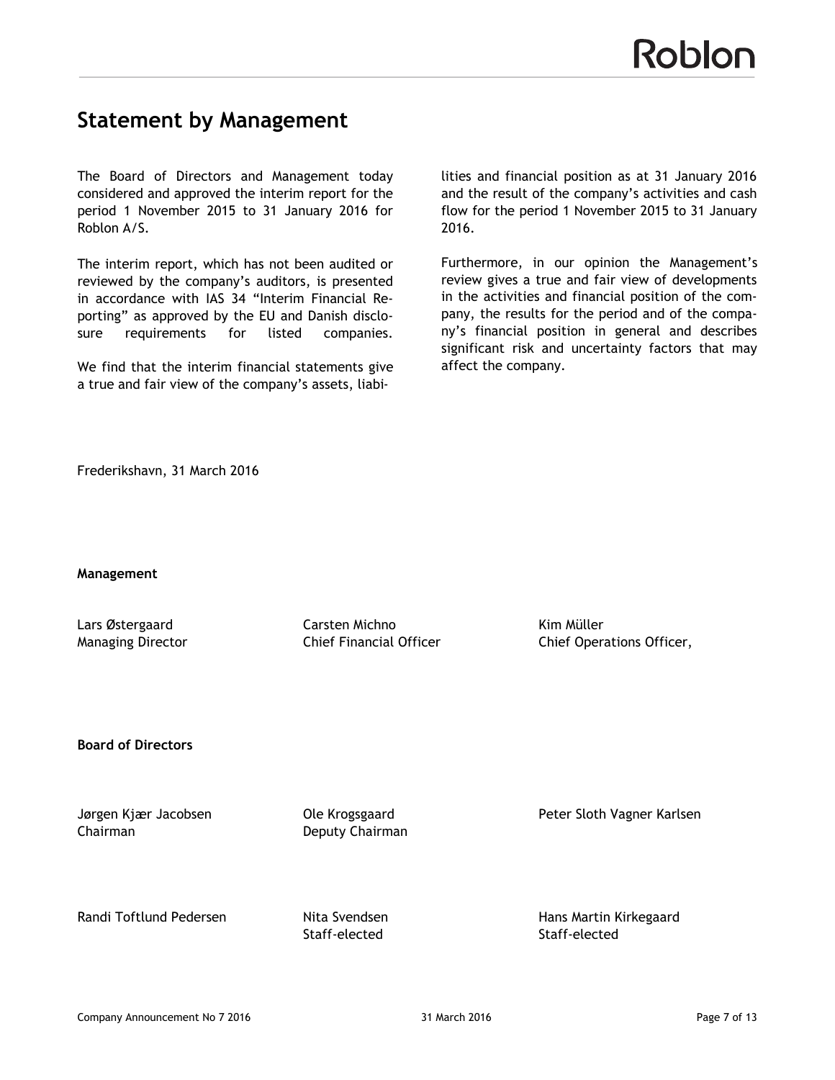# **Statement by Management**

The Board of Directors and Management today considered and approved the interim report for the period 1 November 2015 to 31 January 2016 for Roblon A/S.

The interim report, which has not been audited or reviewed by the company's auditors, is presented in accordance with IAS 34 "Interim Financial Reporting" as approved by the EU and Danish disclosure requirements for listed companies.

We find that the interim financial statements give a true and fair view of the company's assets, liabi-

lities and financial position as at 31 January 2016 and the result of the company's activities and cash flow for the period 1 November 2015 to 31 January 2016.

Furthermore, in our opinion the Management's review gives a true and fair view of developments in the activities and financial position of the company, the results for the period and of the company's financial position in general and describes significant risk and uncertainty factors that may affect the company.

Frederikshavn, 31 March 2016

**Management**

Lars Østergaard Carsten Michno Kim Müller

Managing Director **Chief Financial Officer** Chief Operations Officer,

**Board of Directors**

Chairman Deputy Chairman

Jørgen Kjær Jacobsen Ole Krogsgaard Peter Sloth Vagner Karlsen

Randi Toftlund Pedersen **Nita Svendsen** Hans Martin Kirkegaard

Staff-elected Staff-elected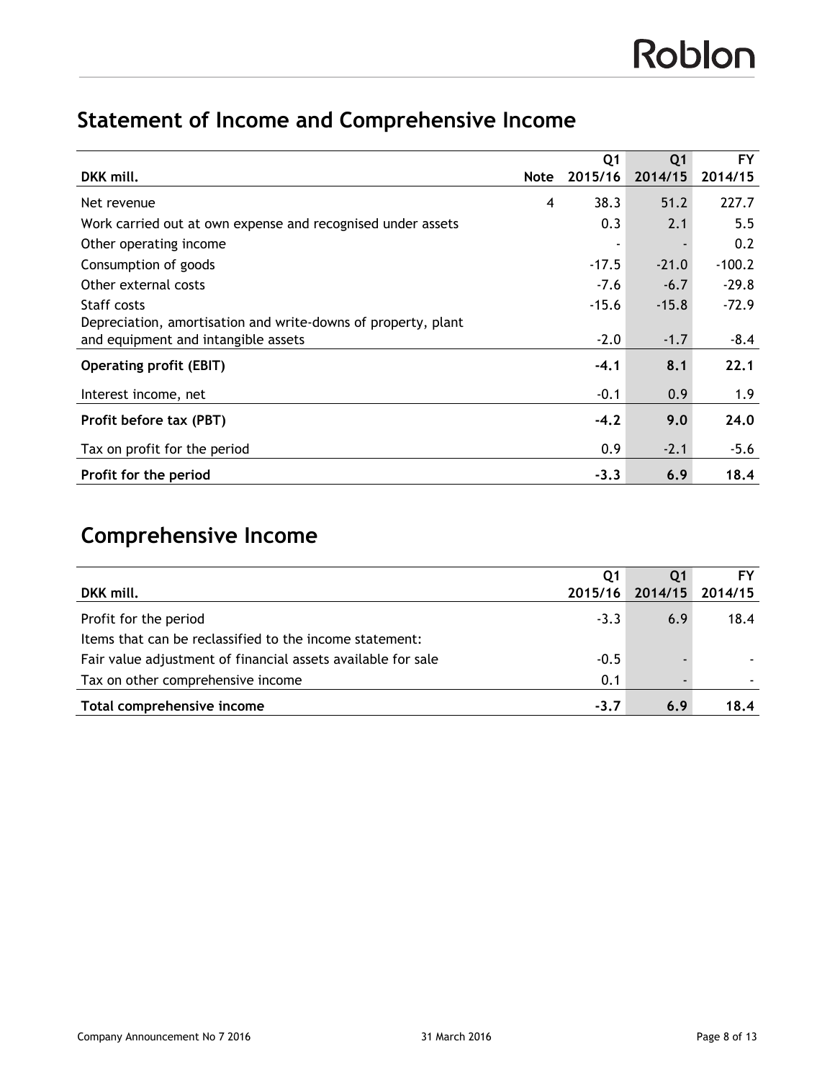# **Statement of Income and Comprehensive Income**

|                                                               |             | Q <sub>1</sub> | Q <sub>1</sub> | <b>FY</b> |
|---------------------------------------------------------------|-------------|----------------|----------------|-----------|
| DKK mill.                                                     | <b>Note</b> | 2015/16        | 2014/15        | 2014/15   |
| Net revenue                                                   | 4           | 38.3           | 51.2           | 227.7     |
| Work carried out at own expense and recognised under assets   |             | 0.3            | 2.1            | 5.5       |
| Other operating income                                        |             |                |                | 0.2       |
| Consumption of goods                                          |             | $-17.5$        | $-21.0$        | $-100.2$  |
| Other external costs                                          |             | $-7.6$         | $-6.7$         | $-29.8$   |
| Staff costs                                                   |             | $-15.6$        | $-15.8$        | $-72.9$   |
| Depreciation, amortisation and write-downs of property, plant |             |                |                |           |
| and equipment and intangible assets                           |             | $-2.0$         | $-1.7$         | $-8.4$    |
| <b>Operating profit (EBIT)</b>                                |             | $-4.1$         | 8.1            | 22.1      |
| Interest income, net                                          |             | $-0.1$         | 0.9            | 1.9       |
| Profit before tax (PBT)                                       |             | $-4.2$         | 9.0            | 24.0      |
| Tax on profit for the period                                  |             | 0.9            | $-2.1$         | $-5.6$    |
| Profit for the period                                         |             | $-3.3$         | 6.9            | 18.4      |

# **Comprehensive Income**

|                                                              | Q1      |         |         |
|--------------------------------------------------------------|---------|---------|---------|
| DKK mill.                                                    | 2015/16 | 2014/15 | 2014/15 |
| Profit for the period                                        | $-3.3$  | 6.9     | 18.4    |
| Items that can be reclassified to the income statement:      |         |         |         |
| Fair value adjustment of financial assets available for sale | $-0.5$  |         |         |
| Tax on other comprehensive income                            | 0.1     |         |         |
| Total comprehensive income                                   | $-3.7$  | 6.9     | 18.4    |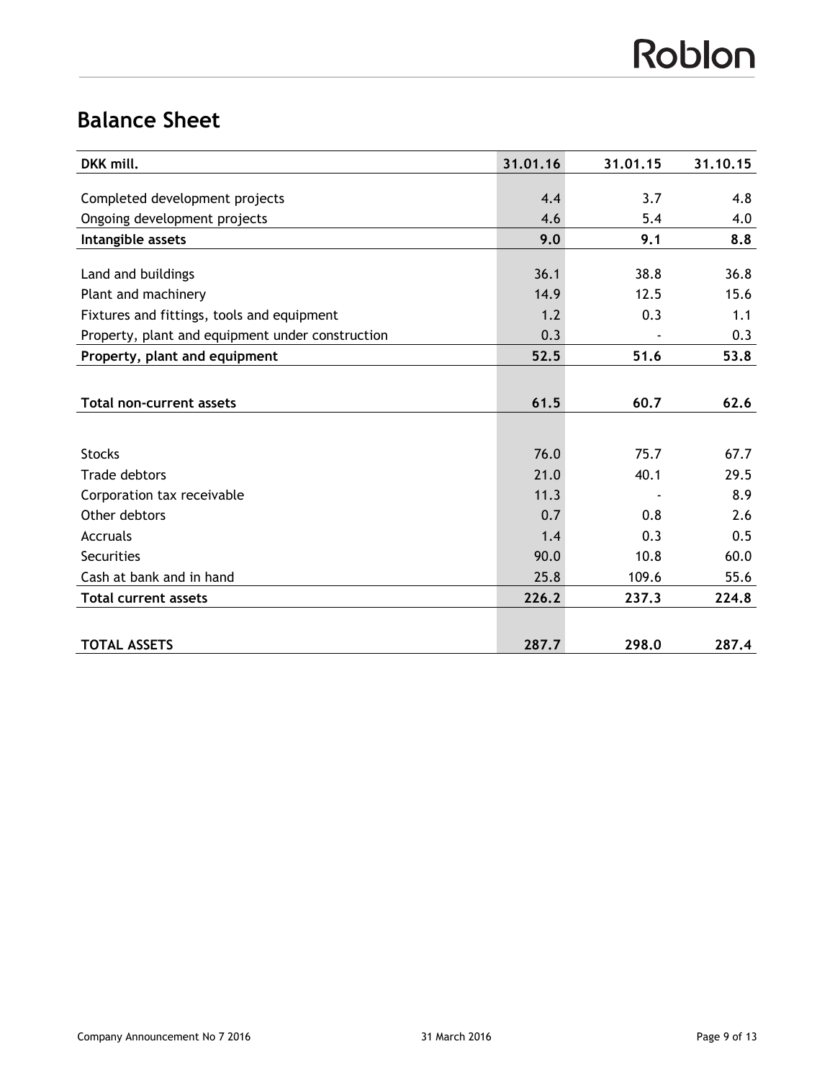# Roblon

# **Balance Sheet**

| DKK mill.                                        | 31.01.16 | 31.01.15 | 31.10.15 |
|--------------------------------------------------|----------|----------|----------|
|                                                  |          |          |          |
| Completed development projects                   | 4.4      | 3.7      | 4.8      |
| Ongoing development projects                     | 4.6      | 5.4      | 4.0      |
| Intangible assets                                | 9.0      | 9.1      | 8.8      |
|                                                  |          |          |          |
| Land and buildings                               | 36.1     | 38.8     | 36.8     |
| Plant and machinery                              | 14.9     | 12.5     | 15.6     |
| Fixtures and fittings, tools and equipment       | 1.2      | 0.3      | 1.1      |
| Property, plant and equipment under construction | 0.3      |          | 0.3      |
| Property, plant and equipment                    | 52.5     | 51.6     | 53.8     |
|                                                  |          |          |          |
| <b>Total non-current assets</b>                  | 61.5     | 60.7     | 62.6     |
|                                                  |          |          |          |
| <b>Stocks</b>                                    | 76.0     | 75.7     | 67.7     |
| <b>Trade debtors</b>                             | 21.0     | 40.1     | 29.5     |
| Corporation tax receivable                       | 11.3     |          | 8.9      |
| Other debtors                                    | 0.7      | 0.8      | 2.6      |
| Accruals                                         | 1.4      | 0.3      | 0.5      |
| <b>Securities</b>                                | 90.0     | 10.8     | 60.0     |
| Cash at bank and in hand                         | 25.8     | 109.6    | 55.6     |
| <b>Total current assets</b>                      | 226.2    | 237.3    | 224.8    |
|                                                  |          |          |          |
| <b>TOTAL ASSETS</b>                              | 287.7    | 298.0    | 287.4    |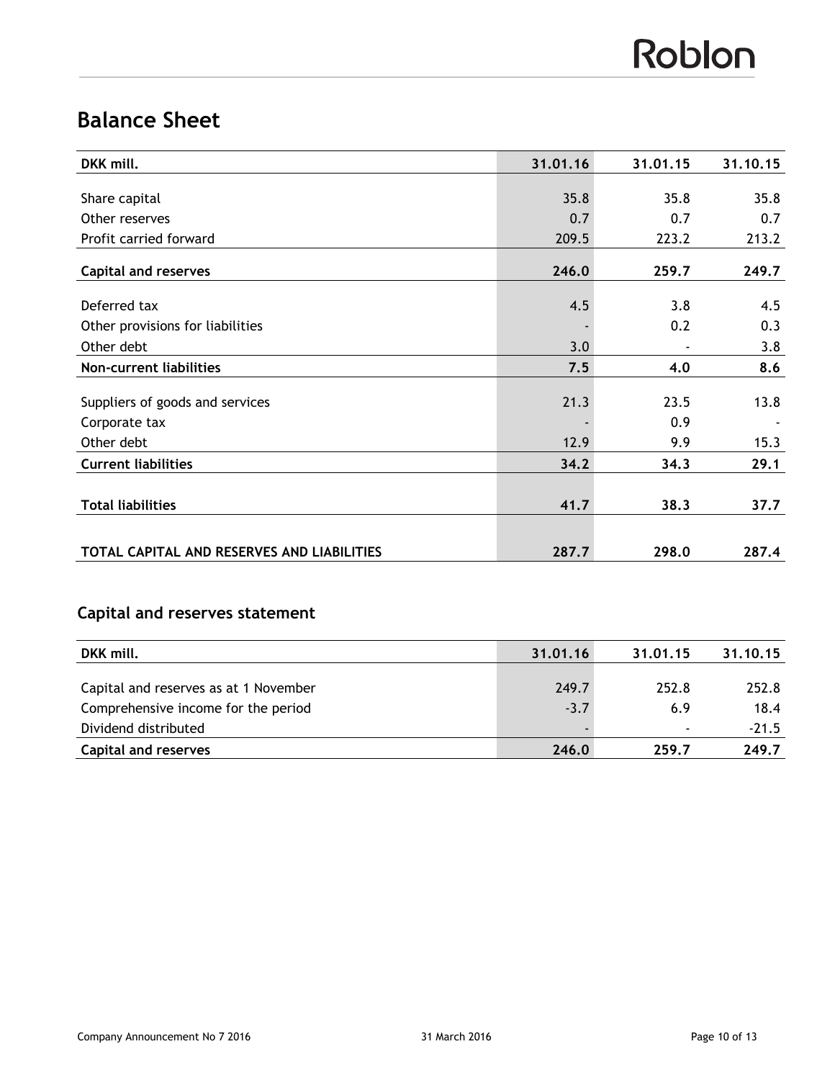# Roblon

# **Balance Sheet**

| DKK mill.                                  | 31.01.16 | 31.01.15                 | 31.10.15 |
|--------------------------------------------|----------|--------------------------|----------|
|                                            |          |                          |          |
| Share capital                              | 35.8     | 35.8                     | 35.8     |
| Other reserves                             | 0.7      | 0.7                      | 0.7      |
| Profit carried forward                     | 209.5    | 223.2                    | 213.2    |
| <b>Capital and reserves</b>                | 246.0    | 259.7                    | 249.7    |
| Deferred tax                               | 4.5      | 3.8                      | 4.5      |
| Other provisions for liabilities           |          | 0.2                      | 0.3      |
| Other debt                                 | 3.0      | $\overline{\phantom{a}}$ | 3.8      |
| Non-current liabilities                    | 7.5      | 4.0                      | 8.6      |
|                                            |          |                          |          |
| Suppliers of goods and services            | 21.3     | 23.5                     | 13.8     |
| Corporate tax                              |          | 0.9                      |          |
| Other debt                                 | 12.9     | 9.9                      | 15.3     |
| <b>Current liabilities</b>                 | 34.2     | 34.3                     | 29.1     |
|                                            |          |                          |          |
| <b>Total liabilities</b>                   | 41.7     | 38.3                     | 37.7     |
|                                            |          |                          |          |
| TOTAL CAPITAL AND RESERVES AND LIABILITIES | 287.7    | 298.0                    | 287.4    |

# **Capital and reserves statement**

| DKK mill.                             | 31.01.16 | 31.01.15                 | 31.10.15 |
|---------------------------------------|----------|--------------------------|----------|
|                                       |          |                          |          |
| Capital and reserves as at 1 November | 249.7    | 252.8                    | 252.8    |
| Comprehensive income for the period   | $-3.7$   | 6.9                      | 18.4     |
| Dividend distributed                  |          | $\overline{\phantom{0}}$ | $-21.5$  |
| <b>Capital and reserves</b>           | 246.0    | 259.7                    | 249.7    |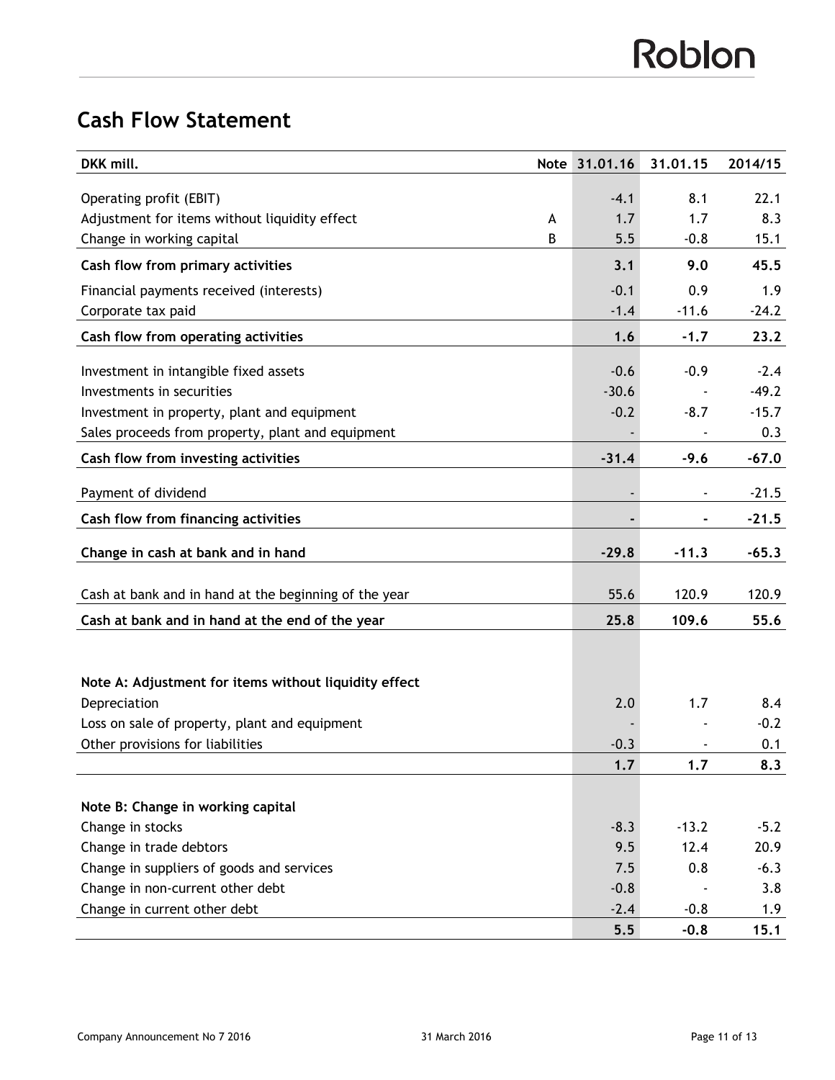# **Cash Flow Statement**

| DKK mill.                                             |   | Note 31.01.16 | 31.01.15 | 2014/15 |
|-------------------------------------------------------|---|---------------|----------|---------|
| Operating profit (EBIT)                               |   | $-4.1$        | 8.1      | 22.1    |
| Adjustment for items without liquidity effect         | A | 1.7           | 1.7      | 8.3     |
| Change in working capital                             | В | 5.5           | $-0.8$   | 15.1    |
| Cash flow from primary activities                     |   | 3.1           | 9.0      | 45.5    |
| Financial payments received (interests)               |   | $-0.1$        | 0.9      | 1.9     |
| Corporate tax paid                                    |   | $-1.4$        | $-11.6$  | $-24.2$ |
| Cash flow from operating activities                   |   | 1.6           | $-1.7$   | 23.2    |
| Investment in intangible fixed assets                 |   | $-0.6$        | $-0.9$   | $-2.4$  |
| Investments in securities                             |   | $-30.6$       |          | $-49.2$ |
| Investment in property, plant and equipment           |   | $-0.2$        | $-8.7$   | $-15.7$ |
| Sales proceeds from property, plant and equipment     |   |               |          | 0.3     |
| Cash flow from investing activities                   |   | $-31.4$       | $-9.6$   | $-67.0$ |
| Payment of dividend                                   |   |               |          | $-21.5$ |
| Cash flow from financing activities                   |   |               | ٠        | $-21.5$ |
| Change in cash at bank and in hand                    |   | $-29.8$       | $-11.3$  | $-65.3$ |
| Cash at bank and in hand at the beginning of the year |   | 55.6          | 120.9    | 120.9   |
| Cash at bank and in hand at the end of the year       |   | 25.8          | 109.6    | 55.6    |
|                                                       |   |               |          |         |
| Note A: Adjustment for items without liquidity effect |   |               |          |         |
| Depreciation                                          |   | 2.0           | 1.7      | 8.4     |
| Loss on sale of property, plant and equipment         |   |               |          | $-0.2$  |
| Other provisions for liabilities                      |   | $-0.3$        |          | 0.1     |
|                                                       |   | 1.7           | 1.7      | 8.3     |
|                                                       |   |               |          |         |
| Note B: Change in working capital                     |   |               |          |         |
| Change in stocks                                      |   | $-8.3$        | $-13.2$  | $-5.2$  |
| Change in trade debtors                               |   | 9.5           | 12.4     | 20.9    |
| Change in suppliers of goods and services             |   | 7.5           | 0.8      | $-6.3$  |
| Change in non-current other debt                      |   | $-0.8$        |          | 3.8     |
| Change in current other debt                          |   | $-2.4$        | $-0.8$   | 1.9     |
|                                                       |   | 5.5           | $-0.8$   | 15.1    |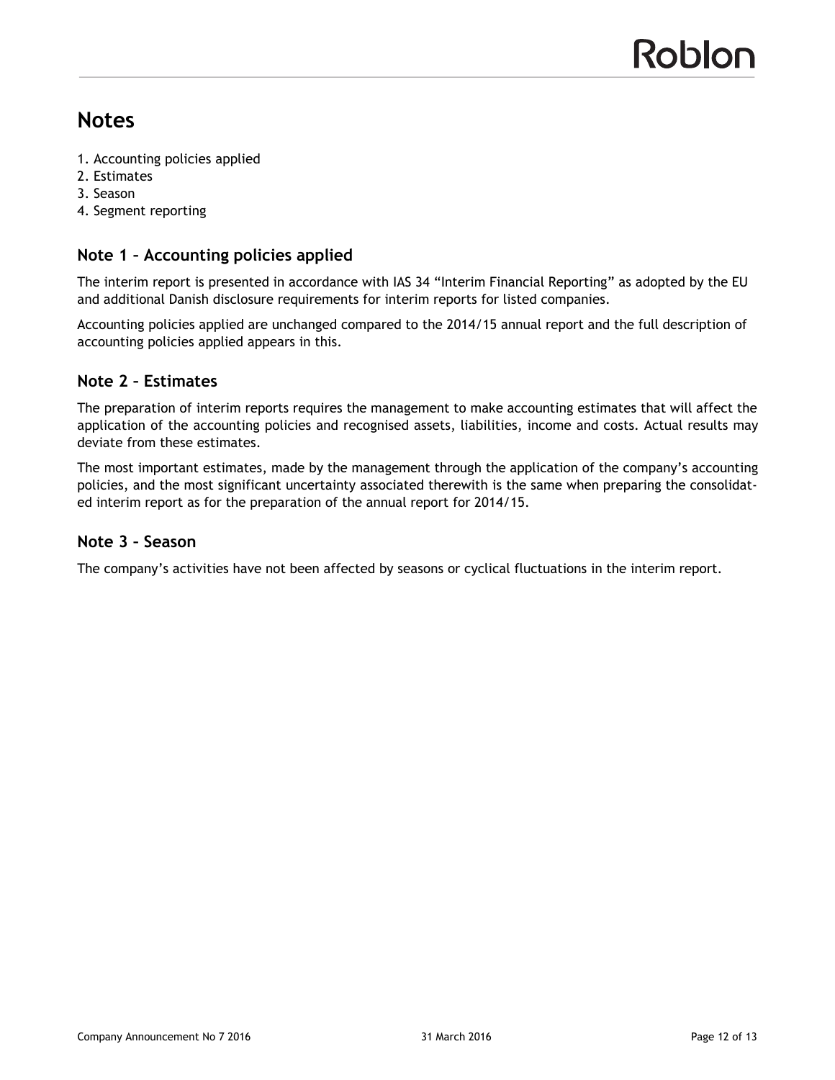# **Notes**

- 1. Accounting policies applied
- 2. Estimates
- 3. Season
- 4. Segment reporting

## **Note 1 – Accounting policies applied**

The interim report is presented in accordance with IAS 34 "Interim Financial Reporting" as adopted by the EU and additional Danish disclosure requirements for interim reports for listed companies.

Accounting policies applied are unchanged compared to the 2014/15 annual report and the full description of accounting policies applied appears in this.

### **Note 2 – Estimates**

The preparation of interim reports requires the management to make accounting estimates that will affect the application of the accounting policies and recognised assets, liabilities, income and costs. Actual results may deviate from these estimates.

The most important estimates, made by the management through the application of the company's accounting policies, and the most significant uncertainty associated therewith is the same when preparing the consolidated interim report as for the preparation of the annual report for 2014/15.

#### **Note 3 – Season**

The company's activities have not been affected by seasons or cyclical fluctuations in the interim report.